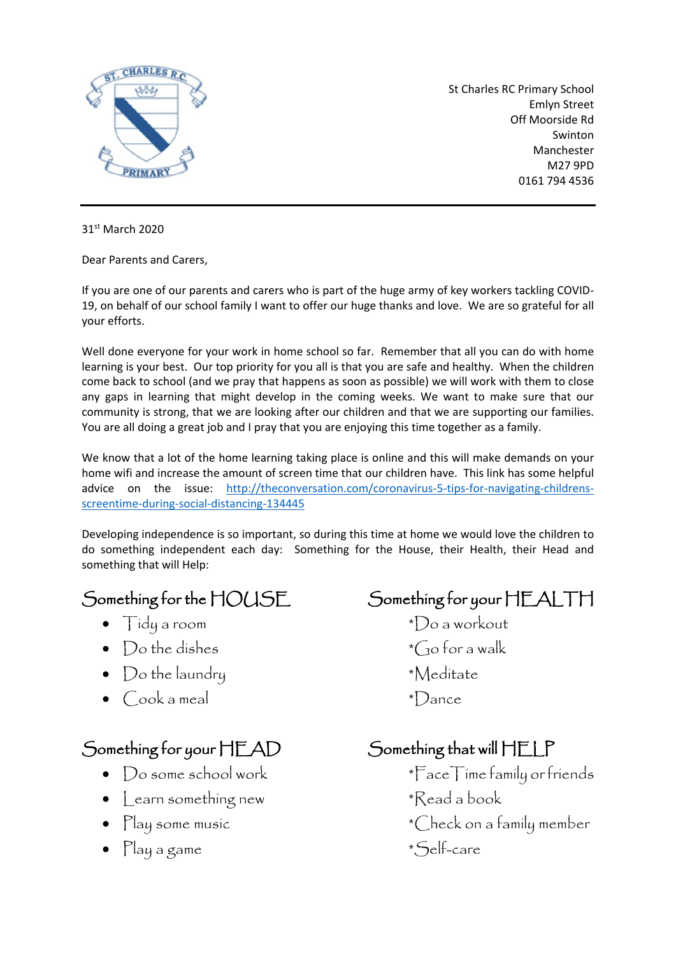

St Charles RC Primary School Emlyn Street Off Moorside Rd Swinton Manchester M27 9PD 0161 794 4536

31<sup>st</sup> March 2020

Dear Parents and Carers,

If you are one of our parents and carers who is part of the huge army of key workers tackling COVID-19, on behalf of our school family I want to offer our huge thanks and love. We are so grateful for all your efforts.

Well done everyone for your work in home school so far. Remember that all you can do with home learning is your best. Our top priority for you all is that you are safe and healthy. When the children come back to school (and we pray that happens as soon as possible) we will work with them to close any gaps in learning that might develop in the coming weeks. We want to make sure that our community is strong, that we are looking after our children and that we are supporting our families. You are all doing a great job and I pray that you are enjoying this time together as a family.

We know that a lot of the home learning taking place is online and this will make demands on your home wifi and increase the amount of screen time that our children have. This link has some helpful advice on the issue: [http://theconversation.com/coronavirus-5-tips-for-navigating-childrens](http://theconversation.com/coronavirus-5-tips-for-navigating-childrens-screentime-during-social-distancing-134445)[screentime-during-social-distancing-134445](http://theconversation.com/coronavirus-5-tips-for-navigating-childrens-screentime-during-social-distancing-134445)

Developing independence is so important, so during this time at home we would love the children to do something independent each day: Something for the House, their Health, their Head and something that will Help:

- 
- 
- Do the laundry \*Meditate
- $\bigcirc$ ook a meal  $\qquad \qquad \bullet$   $\bigcirc$ ook a meal  $\qquad \bullet$   $\Box$

## Something for your HEAD Something that will HELP

- 
- Learn something new \*Read a book
- 
- Play a game \*Self-care

Something for the HOUSE Something for your HEALTH

• Tidy a room \*Do a workout • Do the dishes  $\bullet$   $\bullet$   $\bullet$  for a walk

- Do some school work \*FaceTime family or friends
	-
- Play some music  $\bullet$   $\bullet$  Check on a family member
	-